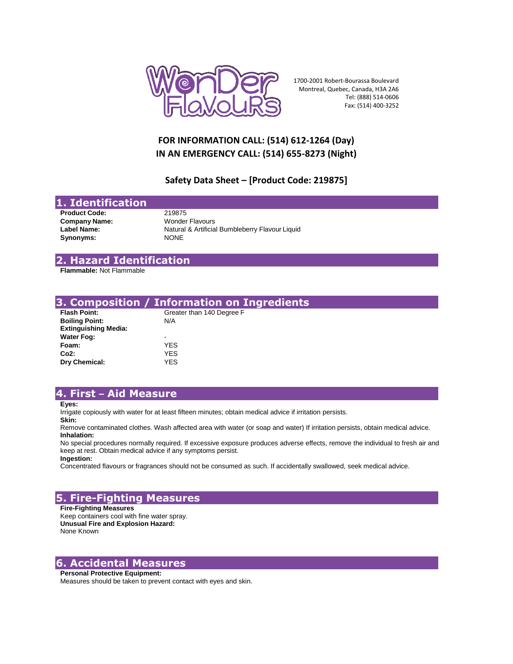

1700-2001 Robert-Bourassa Boulevard Montreal, Quebec, Canada, H3A 2A6 Tel: (888) 514-0606 Fax: (514) 400-3252

# **FOR INFORMATION CALL: (514) 612-1264 (Day) IN AN EMERGENCY CALL: (514) 655-8273 (Night)**

## **Safety Data Sheet – [Product Code: 219875]**

## **1. Identification**

**Product Code:** 219875 **Company Name:** Wonder Flavours **Synonyms:** NONE

Label Name: Natural & Artificial Bumbleberry Flavour Liquid

### **2. Hazard Identification**

**Flammable:** Not Flammable

|                             | 3. Composition / Information on Ingredients |
|-----------------------------|---------------------------------------------|
| <b>Flash Point:</b>         | Greater than 140 Degree F                   |
| <b>Boiling Point:</b>       | N/A                                         |
| <b>Extinguishing Media:</b> |                                             |
| <b>Water Fog:</b>           |                                             |
| Foam:                       | YES.                                        |
| Co2:                        | YES.                                        |
| Dry Chemical:               | YES.                                        |

## **4. First – Aid Measure**

**Eyes:**

Irrigate copiously with water for at least fifteen minutes; obtain medical advice if irritation persists.

**Skin:**

Remove contaminated clothes. Wash affected area with water (or soap and water) If irritation persists, obtain medical advice. **Inhalation:**

No special procedures normally required. If excessive exposure produces adverse effects, remove the individual to fresh air and keep at rest. Obtain medical advice if any symptoms persist. **Ingestion:**

Concentrated flavours or fragrances should not be consumed as such. If accidentally swallowed, seek medical advice.

## **5. Fire-Fighting Measures**

**Fire-Fighting Measures** Keep containers cool with fine water spray. **Unusual Fire and Explosion Hazard:** None Known

## **6. Accidental Measures**

### **Personal Protective Equipment:**

Measures should be taken to prevent contact with eyes and skin.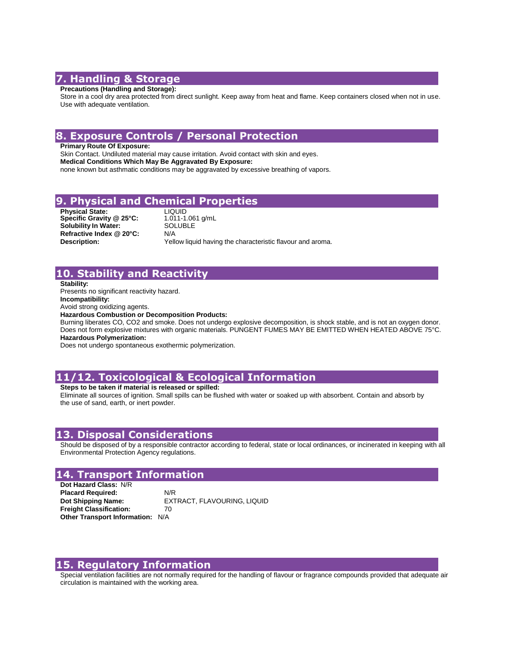# **7. Handling & Storage**

#### **Precautions (Handling and Storage):**

Store in a cool dry area protected from direct sunlight. Keep away from heat and flame. Keep containers closed when not in use. Use with adequate ventilation.

## **8. Exposure Controls / Personal Protection**

**Primary Route Of Exposure:**

Skin Contact. Undiluted material may cause irritation. Avoid contact with skin and eyes. **Medical Conditions Which May Be Aggravated By Exposure:** none known but asthmatic conditions may be aggravated by excessive breathing of vapors.

## **9. Physical and Chemical Properties**

**Physical State:** LIQUID **Specific Gravity @ 25°C:**  $S$ olubility In Water: **Refractive Index @ 20°C:** N/A

1.011-1.061 g/mL **Description:** Yellow liquid having the characteristic flavour and aroma.

## **10. Stability and Reactivity**

**Stability:**

Presents no significant reactivity hazard.

**Incompatibility:**

Avoid strong oxidizing agents.

**Hazardous Combustion or Decomposition Products:**

Burning liberates CO, CO2 and smoke. Does not undergo explosive decomposition, is shock stable, and is not an oxygen donor. Does not form explosive mixtures with organic materials. PUNGENT FUMES MAY BE EMITTED WHEN HEATED ABOVE 75°C. **Hazardous Polymerization:**

Does not undergo spontaneous exothermic polymerization.

# **11/12. Toxicological & Ecological Information**

#### **Steps to be taken if material is released or spilled:**

Eliminate all sources of ignition. Small spills can be flushed with water or soaked up with absorbent. Contain and absorb by the use of sand, earth, or inert powder.

### **13. Disposal Considerations**

Should be disposed of by a responsible contractor according to federal, state or local ordinances, or incinerated in keeping with all Environmental Protection Agency regulations.

## **14. Transport Information**

**Dot Hazard Class:** N/R **Placard Required:** N/R **Dot Shipping Name:** EXTRACT, FLAVOURING, LIQUID **Freight Classification:** 70 **Other Transport Information:** N/A

## **15. Regulatory Information**

Special ventilation facilities are not normally required for the handling of flavour or fragrance compounds provided that adequate air circulation is maintained with the working area.